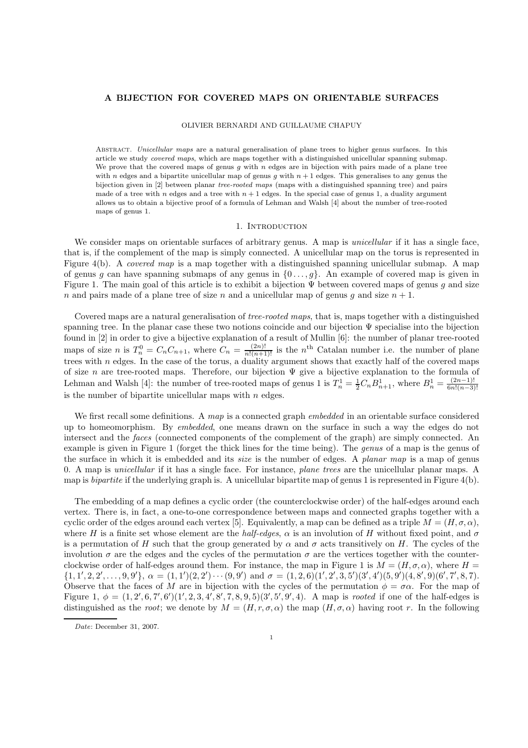# A BIJECTION FOR COVERED MAPS ON ORIENTABLE SURFACES

# OLIVIER BERNARDI AND GUILLAUME CHAPUY

ABSTRACT. Unicellular maps are a natural generalisation of plane trees to higher genus surfaces. In this article we study covered maps, which are maps together with a distinguished unicellular spanning submap. We prove that the covered maps of genus q with n edges are in bijection with pairs made of a plane tree with n edges and a bipartite unicellular map of genus g with  $n + 1$  edges. This generalises to any genus the bijection given in [2] between planar tree-rooted maps (maps with a distinguished spanning tree) and pairs made of a tree with n edges and a tree with  $n + 1$  edges. In the special case of genus 1, a duality argument allows us to obtain a bijective proof of a formula of Lehman and Walsh [4] about the number of tree-rooted maps of genus 1.

#### 1. Introduction

We consider maps on orientable surfaces of arbitrary genus. A map is *unicellular* if it has a single face, that is, if the complement of the map is simply connected. A unicellular map on the torus is represented in Figure 4(b). A covered map is a map together with a distinguished spanning unicellular submap. A map of genus g can have spanning submaps of any genus in  $\{0 \ldots, g\}$ . An example of covered map is given in Figure 1. The main goal of this article is to exhibit a bijection  $\Psi$  between covered maps of genus g and size n and pairs made of a plane tree of size n and a unicellular map of genus g and size  $n + 1$ .

Covered maps are a natural generalisation of tree-rooted maps, that is, maps together with a distinguished spanning tree. In the planar case these two notions coincide and our bijection Ψ specialise into the bijection found in [2] in order to give a bijective explanation of a result of Mullin [6]: the number of planar tree-rooted maps of size *n* is  $T_n^0 = C_n C_{n+1}$ , where  $C_n = \frac{(2n)!}{n!(n+1)!}$  is the *n*<sup>th</sup> Catalan number i.e. the number of plane trees with n edges. In the case of the torus, a duality argument shows that exactly half of the covered maps of size n are tree-rooted maps. Therefore, our bijection  $\Psi$  give a bijective explanation to the formula of Lehman and Walsh [4]: the number of tree-rooted maps of genus 1 is  $T_n^1 = \frac{1}{2} C_n B_{n+1}^1$ , where  $B_n^1 = \frac{(2n-1)!}{6n!(n-3)!}$  $6n!(n-3)!$ is the number of bipartite unicellular maps with  $n$  edges.

We first recall some definitions. A map is a connected graph *embedded* in an orientable surface considered up to homeomorphism. By embedded, one means drawn on the surface in such a way the edges do not intersect and the *faces* (connected components of the complement of the graph) are simply connected. An example is given in Figure 1 (forget the thick lines for the time being). The genus of a map is the genus of the surface in which it is embedded and its size is the number of edges. A planar map is a map of genus 0. A map is unicellular if it has a single face. For instance, plane trees are the unicellular planar maps. A map is bipartite if the underlying graph is. A unicellular bipartite map of genus 1 is represented in Figure 4(b).

The embedding of a map defines a cyclic order (the counterclockwise order) of the half-edges around each vertex. There is, in fact, a one-to-one correspondence between maps and connected graphs together with a cyclic order of the edges around each vertex [5]. Equivalently, a map can be defined as a triple  $M = (H, \sigma, \alpha)$ , where H is a finite set whose element are the half-edges,  $\alpha$  is an involution of H without fixed point, and  $\sigma$ is a permutation of H such that the group generated by  $\alpha$  and  $\sigma$  acts transitively on H. The cycles of the involution  $\sigma$  are the edges and the cycles of the permutation  $\sigma$  are the vertices together with the counterclockwise order of half-edges around them. For instance, the map in Figure 1 is  $M = (H, \sigma, \alpha)$ , where  $H =$  $\{1, 1', 2, 2', \ldots, 9, 9'\}, \ \alpha = (1, 1')(2, 2') \cdots (9, 9') \text{ and } \sigma = (1, 2, 6)(1', 2', 3, 5')(3', 4')(5, 9')(4, 8', 9)(6', 7', 8, 7).$ Observe that the faces of M are in bijection with the cycles of the permutation  $\phi = \sigma \alpha$ . For the map of Figure 1,  $\phi = (1, 2', 6, 7', 6')$  $(1', 2, 3, 4', 8', 7, 8, 9, 5)$  $(3', 5', 9', 4)$ . A map is *rooted* if one of the half-edges is distinguished as the root; we denote by  $M = (H, r, \sigma, \alpha)$  the map  $(H, \sigma, \alpha)$  having root r. In the following

Date: December 31, 2007.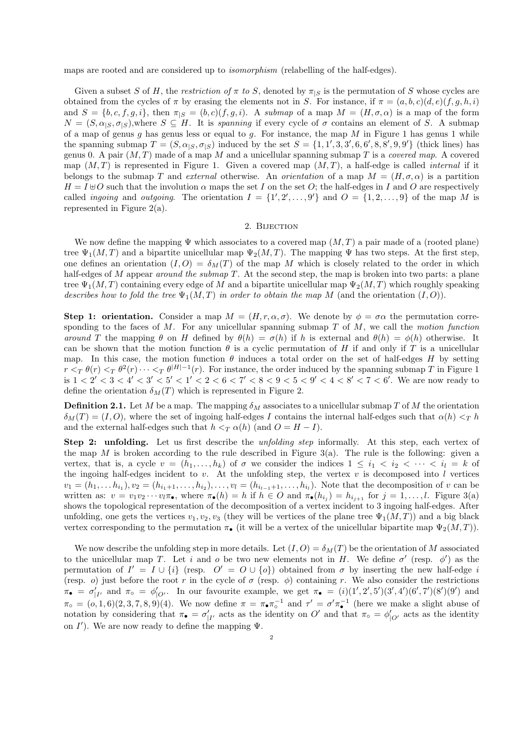maps are rooted and are considered up to isomorphism (relabelling of the half-edges).

Given a subset S of H, the restriction of  $\pi$  to S, denoted by  $\pi_{|S}$  is the permutation of S whose cycles are obtained from the cycles of  $\pi$  by erasing the elements not in S. For instance, if  $\pi = (a, b, c)(d, e)(f, g, h, i)$ and  $S = \{b, c, f, g, i\}$ , then  $\pi_{|S} = (b, c)(f, g, i)$ . A submap of a map  $M = (H, \sigma, \alpha)$  is a map of the form  $N = (S, \alpha_{|S}, \sigma_{|S})$ , where  $S \subseteq H$ . It is *spanning* if every cycle of  $\sigma$  contains an element of S. A submap of a map of genus g has genus less or equal to g. For instance, the map M in Figure 1 has genus 1 while the spanning submap  $T = (S, \alpha_{|S}, \sigma_{|S})$  induced by the set  $S = \{1, 1', 3, 3', 6, 6', 8, 8', 9, 9'\}$  (thick lines) has genus 0. A pair  $(M, T)$  made of a map M and a unicellular spanning submap T is a covered map. A covered map  $(M, T)$  is represented in Figure 1. Given a covered map  $(M, T)$ , a half-edge is called *internal* if it belongs to the submap T and external otherwise. An orientation of a map  $M = (H, \sigma, \alpha)$  is a partition  $H = I \oplus O$  such that the involution  $\alpha$  maps the set I on the set O; the half-edges in I and O are respectively called *ingoing* and *outgoing*. The orientation  $I = \{1', 2', \ldots, 9'\}$  and  $O = \{1, 2, \ldots, 9\}$  of the map M is represented in Figure 2(a).

### 2. BIJECTION

We now define the mapping  $\Psi$  which associates to a covered map  $(M, T)$  a pair made of a (rooted plane) tree  $\Psi_1(M,T)$  and a bipartite unicellular map  $\Psi_2(M,T)$ . The mapping  $\Psi$  has two steps. At the first step, one defines an orientation  $(I, O) = \delta_M(T)$  of the map M which is closely related to the order in which half-edges of  $M$  appear around the submap  $T$ . At the second step, the map is broken into two parts: a plane tree  $\Psi_1(M,T)$  containing every edge of M and a bipartite unicellular map  $\Psi_2(M,T)$  which roughly speaking describes how to fold the tree  $\Psi_1(M,T)$  in order to obtain the map M (and the orientation  $(I,O)$ ).

**Step 1: orientation.** Consider a map  $M = (H, r, \alpha, \sigma)$ . We denote by  $\phi = \sigma \alpha$  the permutation corresponding to the faces of  $M$ . For any unicellular spanning submap  $T$  of  $M$ , we call the motion function around T the mapping  $\theta$  on H defined by  $\theta(h) = \sigma(h)$  if h is external and  $\theta(h) = \phi(h)$  otherwise. It can be shown that the motion function  $\theta$  is a cyclic permutation of H if and only if T is a unicellular map. In this case, the motion function  $\theta$  induces a total order on the set of half-edges H by setting  $r <_T \theta(r) <_T \theta^2(r) \cdots <_T \theta^{|H|-1}(r)$ . For instance, the order induced by the spanning submap T in Figure 1 is  $1 < 2' < 3 < 4' < 3' < 5' < 1' < 2 < 6 < 7' < 8 < 9 < 5 < 9' < 4 < 8' < 7 < 6'$ . We are now ready to define the orientation  $\delta_M(T)$  which is represented in Figure 2.

**Definition 2.1.** Let M be a map. The mapping  $\delta_M$  associates to a unicellular submap T of M the orientation  $\delta_M(T) = (I, O)$ , where the set of ingoing half-edges I contains the internal half-edges such that  $\alpha(h) <_T h$ and the external half-edges such that  $h <_{T} \alpha(h)$  (and  $O = H - I$ ).

Step 2: unfolding. Let us first describe the *unfolding step* informally. At this step, each vertex of the map M is broken according to the rule described in Figure 3(a). The rule is the following: given a vertex, that is, a cycle  $v = (h_1, \ldots, h_k)$  of  $\sigma$  we consider the indices  $1 \leq i_1 < i_2 < \cdots < i_l = k$  of the ingoing half-edges incident to  $v$ . At the unfolding step, the vertex  $v$  is decomposed into  $l$  vertices  $v_1 = (h_1, \ldots, h_{i_1}), v_2 = (h_{i_1+1}, \ldots, h_{i_2}), \ldots, v_l = (h_{i_{l-1}+1}, \ldots, h_{i_l}).$  Note that the decomposition of v can be written as:  $v = v_1v_2 \cdots v_l\pi_{\bullet}$ , where  $\pi_{\bullet}(h) = h$  if  $h \in O$  and  $\pi_{\bullet}(h_{i_j}) = h_{i_{j+1}}$  for  $j = 1, \ldots, l$ . Figure 3(a) shows the topological representation of the decomposition of a vertex incident to 3 ingoing half-edges. After unfolding, one gets the vertices  $v_1, v_2, v_3$  (they will be vertices of the plane tree  $\Psi_1(M, T)$ ) and a big black vertex corresponding to the permutation  $\pi_{\bullet}$  (it will be a vertex of the unicellular bipartite map  $\Psi_2(M,T)$ ).

We now describe the unfolding step in more details. Let  $(I, O) = \delta_M(T)$  be the orientation of M associated to the unicellular map T. Let i and o be two new elements not in H. We define  $\sigma'$  (resp.  $\phi'$ ) as the permutation of  $I' = I \cup \{i\}$  (resp.  $O' = O \cup \{o\}$ ) obtained from  $\sigma$  by inserting the new half-edge i (resp. o) just before the root r in the cycle of  $\sigma$  (resp.  $\phi$ ) containing r. We also consider the restrictions  $\pi_{\bullet} = \sigma'_{|I'}$  and  $\pi_{\circ} = \phi'_{|O'}$ . In our favourite example, we get  $\pi_{\bullet} = (i)(1', 2', 5')(3', 4')(6', 7')(8')(9')$  and  $\pi_{\circ} = (o, 1, 6)(2, 3, 7, 8, 9)(4)$ . We now define  $\pi = \pi_{\bullet}\pi_{\circ}^{-1}$  and  $\tau' = \sigma'\pi_{\bullet}^{-1}$  (here we make a slight abuse of notation by considering that  $\pi_{\bullet} = \sigma'_{|I'}$  acts as the identity on  $O'$  and that  $\pi_{\circ} = \phi'_{|O'}$  acts as the identity on  $I'$ ). We are now ready to define the mapping  $\Psi$ .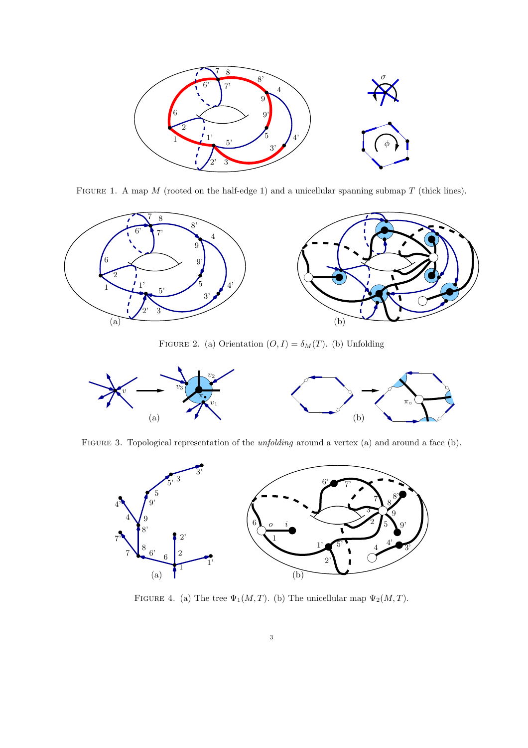

FIGURE 1. A map  $M$  (rooted on the half-edge 1) and a unicellular spanning submap  $T$  (thick lines).



FIGURE 2. (a) Orientation  $(O, I) = \delta_M(T)$ . (b) Unfolding



FIGURE 3. Topological representation of the *unfolding* around a vertex (a) and around a face (b).



FIGURE 4. (a) The tree  $\Psi_1(M,T)$ . (b) The unicellular map  $\Psi_2(M,T)$ .